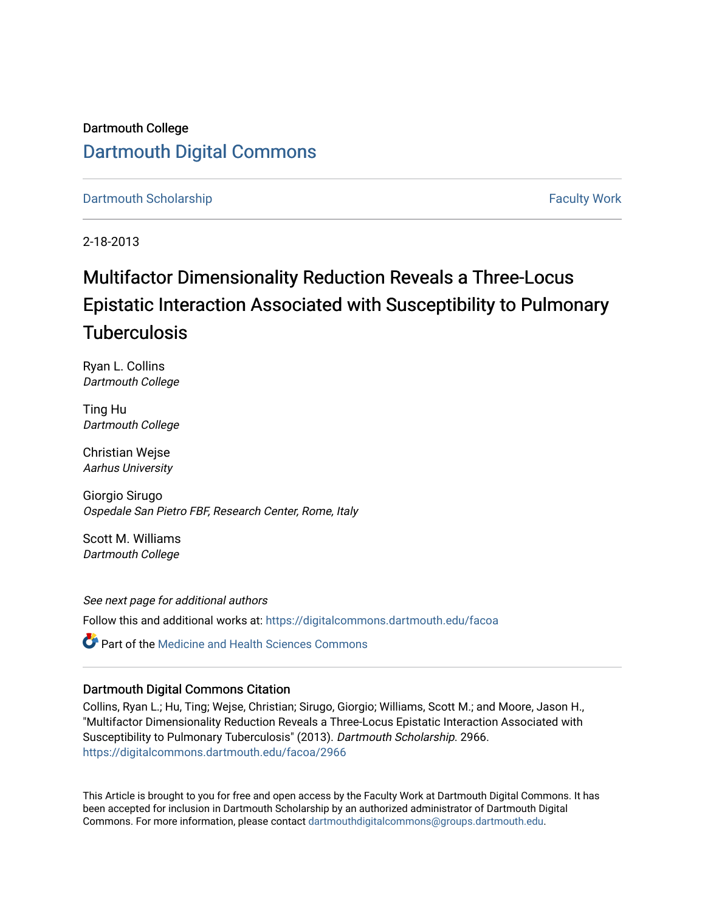# Dartmouth College [Dartmouth Digital Commons](https://digitalcommons.dartmouth.edu/)

# [Dartmouth Scholarship](https://digitalcommons.dartmouth.edu/facoa) [Faculty Work](https://digitalcommons.dartmouth.edu/faculty) and The Basic Scholarship Faculty Work Faculty Work

2-18-2013

# Multifactor Dimensionality Reduction Reveals a Three-Locus Epistatic Interaction Associated with Susceptibility to Pulmonary **Tuberculosis**

Ryan L. Collins Dartmouth College

Ting Hu Dartmouth College

Christian Wejse Aarhus University

Giorgio Sirugo Ospedale San Pietro FBF, Research Center, Rome, Italy

Scott M. Williams Dartmouth College

See next page for additional authors Follow this and additional works at: [https://digitalcommons.dartmouth.edu/facoa](https://digitalcommons.dartmouth.edu/facoa?utm_source=digitalcommons.dartmouth.edu%2Ffacoa%2F2966&utm_medium=PDF&utm_campaign=PDFCoverPages)

Part of the [Medicine and Health Sciences Commons](http://network.bepress.com/hgg/discipline/648?utm_source=digitalcommons.dartmouth.edu%2Ffacoa%2F2966&utm_medium=PDF&utm_campaign=PDFCoverPages) 

# Dartmouth Digital Commons Citation

Collins, Ryan L.; Hu, Ting; Wejse, Christian; Sirugo, Giorgio; Williams, Scott M.; and Moore, Jason H., "Multifactor Dimensionality Reduction Reveals a Three-Locus Epistatic Interaction Associated with Susceptibility to Pulmonary Tuberculosis" (2013). Dartmouth Scholarship. 2966. [https://digitalcommons.dartmouth.edu/facoa/2966](https://digitalcommons.dartmouth.edu/facoa/2966?utm_source=digitalcommons.dartmouth.edu%2Ffacoa%2F2966&utm_medium=PDF&utm_campaign=PDFCoverPages) 

This Article is brought to you for free and open access by the Faculty Work at Dartmouth Digital Commons. It has been accepted for inclusion in Dartmouth Scholarship by an authorized administrator of Dartmouth Digital Commons. For more information, please contact [dartmouthdigitalcommons@groups.dartmouth.edu](mailto:dartmouthdigitalcommons@groups.dartmouth.edu).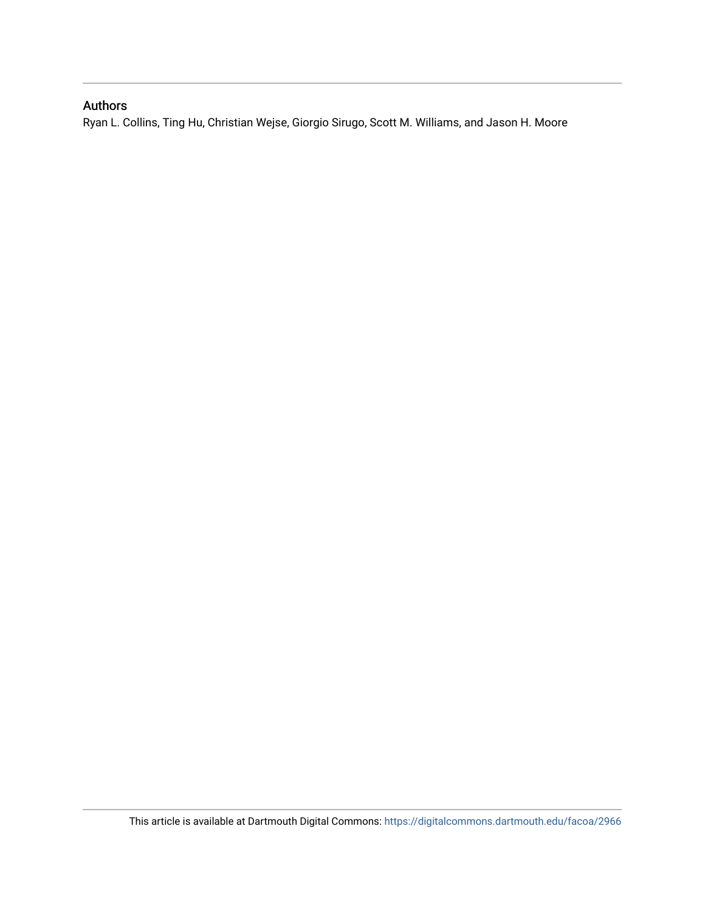# Authors

Ryan L. Collins, Ting Hu, Christian Wejse, Giorgio Sirugo, Scott M. Williams, and Jason H. Moore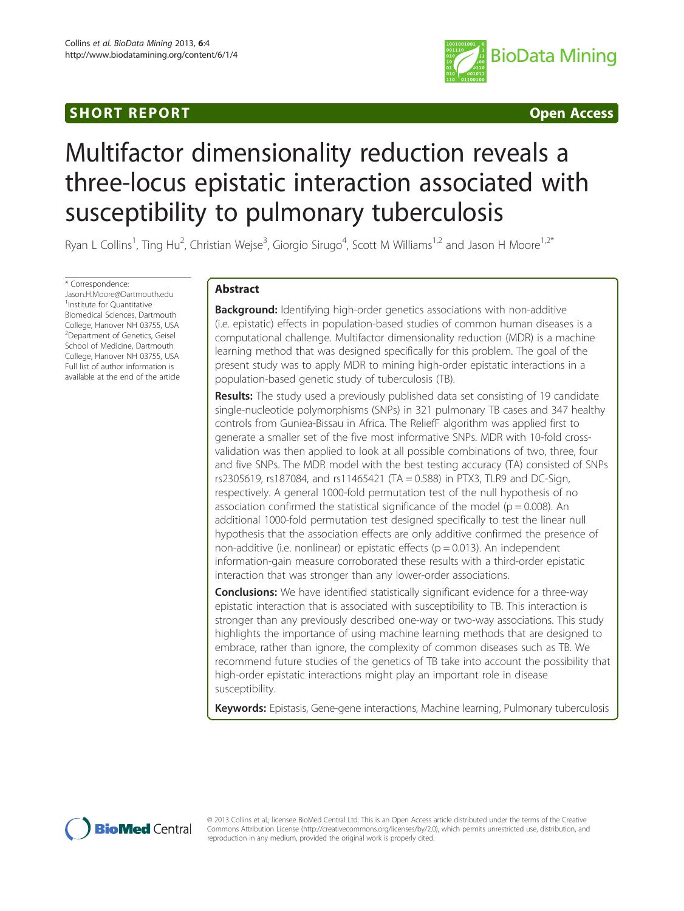# **SHORT REPORT CONSUMING THE SHORT CONSUMING THE CONSUMING THE CONSUMING THE CONSUMING THE CONSUMING THE CONSUMING THE CONSUMING THE CONSUMING THE CONSUMING THE CONSUMING THE CONSUMING THE CONSUMING THE CONSUMING THE CONSUM**



# Multifactor dimensionality reduction reveals a three-locus epistatic interaction associated with susceptibility to pulmonary tuberculosis

Ryan L Collins<sup>1</sup>, Ting Hu<sup>2</sup>, Christian Wejse<sup>3</sup>, Giorgio Sirugo<sup>4</sup>, Scott M Williams<sup>1,2</sup> and Jason H Moore<sup>1,2\*</sup>

\* Correspondence: [Jason.H.Moore@Dartmouth.edu](mailto:Jason.H.Moore@Dartmouth.edu) <sup>1</sup> Institute for Quantitative Biomedical Sciences, Dartmouth College, Hanover NH 03755, USA <sup>2</sup>Department of Genetics, Geisel School of Medicine, Dartmouth College, Hanover NH 03755, USA Full list of author information is available at the end of the article

# Abstract

Background: Identifying high-order genetics associations with non-additive (i.e. epistatic) effects in population-based studies of common human diseases is a computational challenge. Multifactor dimensionality reduction (MDR) is a machine learning method that was designed specifically for this problem. The goal of the present study was to apply MDR to mining high-order epistatic interactions in a population-based genetic study of tuberculosis (TB).

Results: The study used a previously published data set consisting of 19 candidate single-nucleotide polymorphisms (SNPs) in 321 pulmonary TB cases and 347 healthy controls from Guniea-Bissau in Africa. The ReliefF algorithm was applied first to generate a smaller set of the five most informative SNPs. MDR with 10-fold crossvalidation was then applied to look at all possible combinations of two, three, four and five SNPs. The MDR model with the best testing accuracy (TA) consisted of SNPs rs2305619, rs187084, and rs11465421 (TA = 0.588) in PTX3, TLR9 and DC-Sign, respectively. A general 1000-fold permutation test of the null hypothesis of no association confirmed the statistical significance of the model ( $p = 0.008$ ). An additional 1000-fold permutation test designed specifically to test the linear null hypothesis that the association effects are only additive confirmed the presence of non-additive (i.e. nonlinear) or epistatic effects ( $p = 0.013$ ). An independent information-gain measure corroborated these results with a third-order epistatic interaction that was stronger than any lower-order associations.

**Conclusions:** We have identified statistically significant evidence for a three-way epistatic interaction that is associated with susceptibility to TB. This interaction is stronger than any previously described one-way or two-way associations. This study highlights the importance of using machine learning methods that are designed to embrace, rather than ignore, the complexity of common diseases such as TB. We recommend future studies of the genetics of TB take into account the possibility that high-order epistatic interactions might play an important role in disease susceptibility.

Keywords: Epistasis, Gene-gene interactions, Machine learning, Pulmonary tuberculosis



© 2013 Collins et al.; licensee BioMed Central Ltd. This is an Open Access article distributed under the terms of the Creative Commons Attribution License [\(http://creativecommons.org/licenses/by/2.0\)](http://creativecommons.org/licenses/by/2.0), which permits unrestricted use, distribution, and reproduction in any medium, provided the original work is properly cited.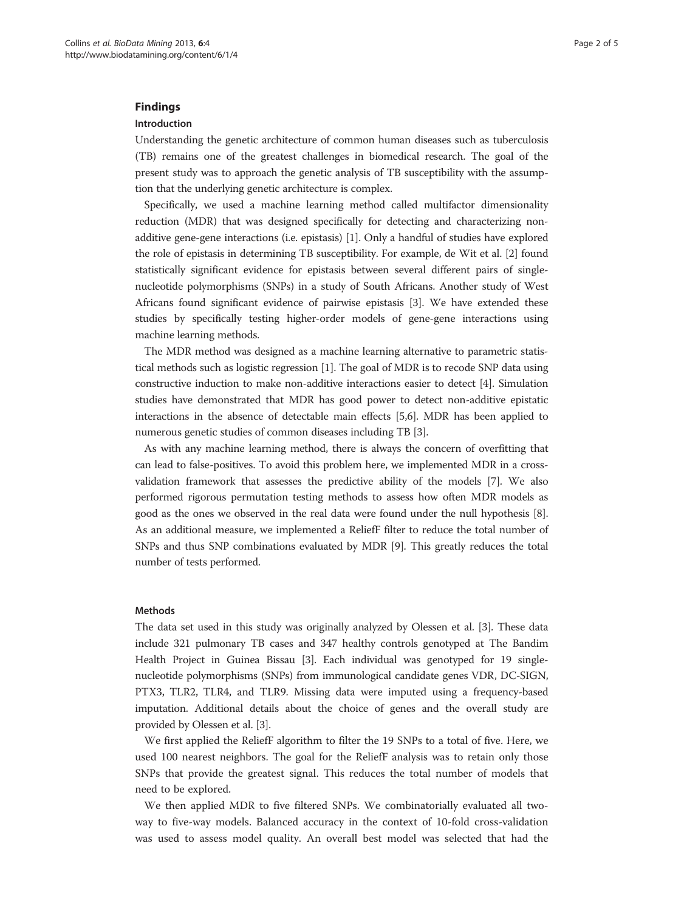## Findings

## Introduction

Understanding the genetic architecture of common human diseases such as tuberculosis (TB) remains one of the greatest challenges in biomedical research. The goal of the present study was to approach the genetic analysis of TB susceptibility with the assumption that the underlying genetic architecture is complex.

Specifically, we used a machine learning method called multifactor dimensionality reduction (MDR) that was designed specifically for detecting and characterizing nonadditive gene-gene interactions (i.e. epistasis) [\[1](#page-6-0)]. Only a handful of studies have explored the role of epistasis in determining TB susceptibility. For example, de Wit et al. [\[2](#page-6-0)] found statistically significant evidence for epistasis between several different pairs of singlenucleotide polymorphisms (SNPs) in a study of South Africans. Another study of West Africans found significant evidence of pairwise epistasis [\[3](#page-6-0)]. We have extended these studies by specifically testing higher-order models of gene-gene interactions using machine learning methods.

The MDR method was designed as a machine learning alternative to parametric statistical methods such as logistic regression [[1\]](#page-6-0). The goal of MDR is to recode SNP data using constructive induction to make non-additive interactions easier to detect [[4\]](#page-6-0). Simulation studies have demonstrated that MDR has good power to detect non-additive epistatic interactions in the absence of detectable main effects [[5,6](#page-6-0)]. MDR has been applied to numerous genetic studies of common diseases including TB [\[3](#page-6-0)].

As with any machine learning method, there is always the concern of overfitting that can lead to false-positives. To avoid this problem here, we implemented MDR in a crossvalidation framework that assesses the predictive ability of the models [[7](#page-6-0)]. We also performed rigorous permutation testing methods to assess how often MDR models as good as the ones we observed in the real data were found under the null hypothesis [[8](#page-6-0)]. As an additional measure, we implemented a ReliefF filter to reduce the total number of SNPs and thus SNP combinations evaluated by MDR [[9\]](#page-6-0). This greatly reduces the total number of tests performed.

# Methods

The data set used in this study was originally analyzed by Olessen et al. [[3\]](#page-6-0). These data include 321 pulmonary TB cases and 347 healthy controls genotyped at The Bandim Health Project in Guinea Bissau [[3\]](#page-6-0). Each individual was genotyped for 19 singlenucleotide polymorphisms (SNPs) from immunological candidate genes VDR, DC-SIGN, PTX3, TLR2, TLR4, and TLR9. Missing data were imputed using a frequency-based imputation. Additional details about the choice of genes and the overall study are provided by Olessen et al. [\[3\]](#page-6-0).

We first applied the ReliefF algorithm to filter the 19 SNPs to a total of five. Here, we used 100 nearest neighbors. The goal for the ReliefF analysis was to retain only those SNPs that provide the greatest signal. This reduces the total number of models that need to be explored.

We then applied MDR to five filtered SNPs. We combinatorially evaluated all twoway to five-way models. Balanced accuracy in the context of 10-fold cross-validation was used to assess model quality. An overall best model was selected that had the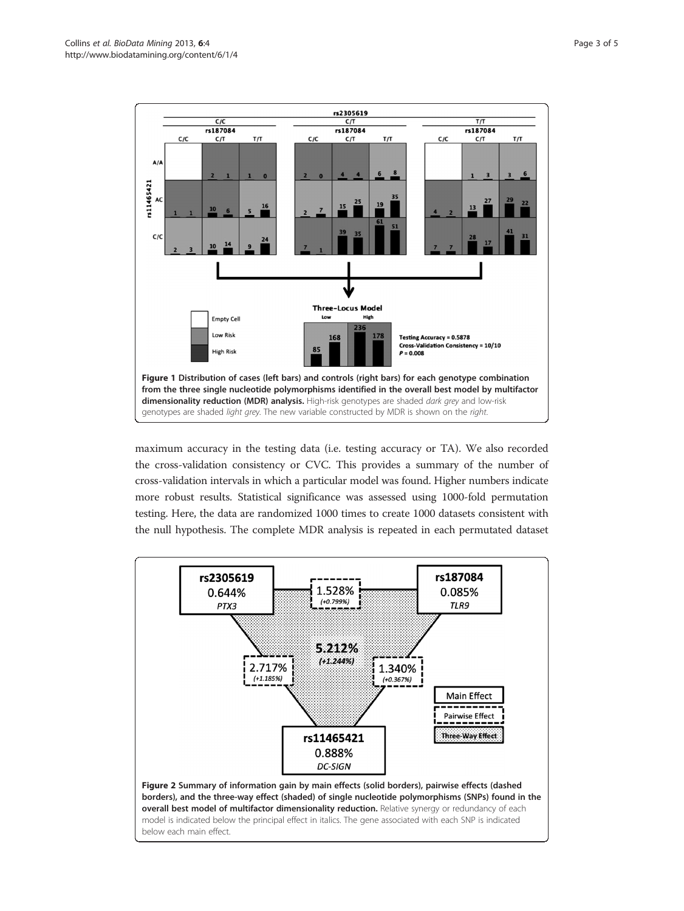<span id="page-4-0"></span>

maximum accuracy in the testing data (i.e. testing accuracy or TA). We also recorded the cross-validation consistency or CVC. This provides a summary of the number of cross-validation intervals in which a particular model was found. Higher numbers indicate more robust results. Statistical significance was assessed using 1000-fold permutation testing. Here, the data are randomized 1000 times to create 1000 datasets consistent with the null hypothesis. The complete MDR analysis is repeated in each permutated dataset

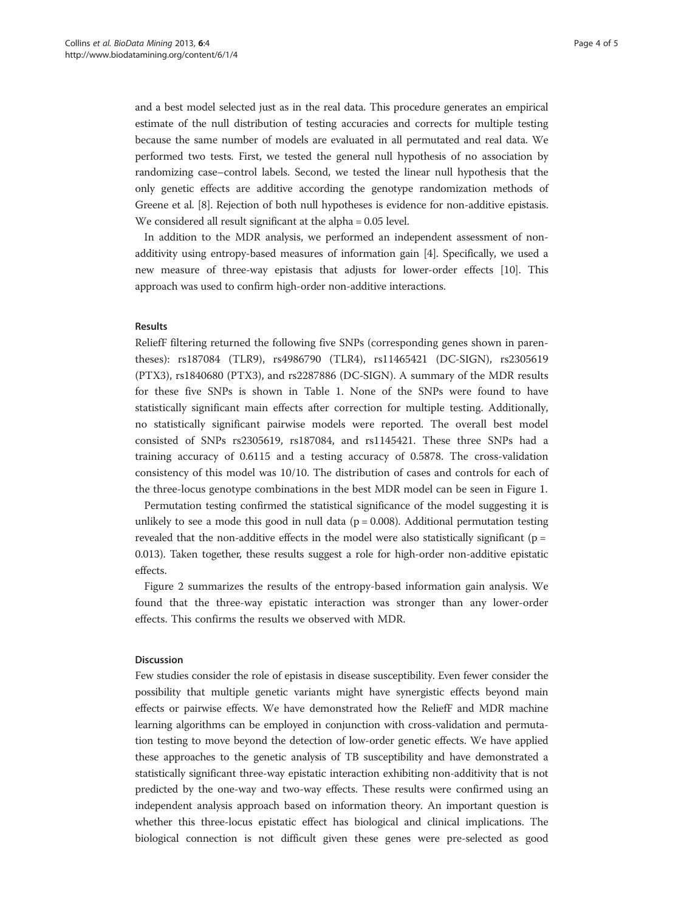and a best model selected just as in the real data. This procedure generates an empirical estimate of the null distribution of testing accuracies and corrects for multiple testing because the same number of models are evaluated in all permutated and real data. We performed two tests. First, we tested the general null hypothesis of no association by randomizing case–control labels. Second, we tested the linear null hypothesis that the only genetic effects are additive according the genotype randomization methods of Greene et al. [\[8](#page-6-0)]. Rejection of both null hypotheses is evidence for non-additive epistasis. We considered all result significant at the alpha = 0.05 level.

In addition to the MDR analysis, we performed an independent assessment of nonadditivity using entropy-based measures of information gain [\[4\]](#page-6-0). Specifically, we used a new measure of three-way epistasis that adjusts for lower-order effects [\[10\]](#page-6-0). This approach was used to confirm high-order non-additive interactions.

## Results

ReliefF filtering returned the following five SNPs (corresponding genes shown in parentheses): rs187084 (TLR9), rs4986790 (TLR4), rs11465421 (DC-SIGN), rs2305619 (PTX3), rs1840680 (PTX3), and rs2287886 (DC-SIGN). A summary of the MDR results for these five SNPs is shown in Table 1. None of the SNPs were found to have statistically significant main effects after correction for multiple testing. Additionally, no statistically significant pairwise models were reported. The overall best model consisted of SNPs rs2305619, rs187084, and rs1145421. These three SNPs had a training accuracy of 0.6115 and a testing accuracy of 0.5878. The cross-validation consistency of this model was 10/10. The distribution of cases and controls for each of the three-locus genotype combinations in the best MDR model can be seen in Figure [1.](#page-4-0)

Permutation testing confirmed the statistical significance of the model suggesting it is unlikely to see a mode this good in null data ( $p = 0.008$ ). Additional permutation testing revealed that the non-additive effects in the model were also statistically significant ( $p =$ 0.013). Taken together, these results suggest a role for high-order non-additive epistatic effects.

Figure [2](#page-4-0) summarizes the results of the entropy-based information gain analysis. We found that the three-way epistatic interaction was stronger than any lower-order effects. This confirms the results we observed with MDR.

# Discussion

Few studies consider the role of epistasis in disease susceptibility. Even fewer consider the possibility that multiple genetic variants might have synergistic effects beyond main effects or pairwise effects. We have demonstrated how the ReliefF and MDR machine learning algorithms can be employed in conjunction with cross-validation and permutation testing to move beyond the detection of low-order genetic effects. We have applied these approaches to the genetic analysis of TB susceptibility and have demonstrated a statistically significant three-way epistatic interaction exhibiting non-additivity that is not predicted by the one-way and two-way effects. These results were confirmed using an independent analysis approach based on information theory. An important question is whether this three-locus epistatic effect has biological and clinical implications. The biological connection is not difficult given these genes were pre-selected as good